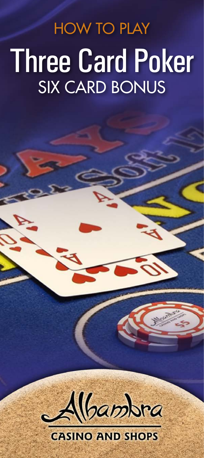Three Card Poker SIX CARD BONUS HOW TO PLAY



## **CASINO AND SHOPS**